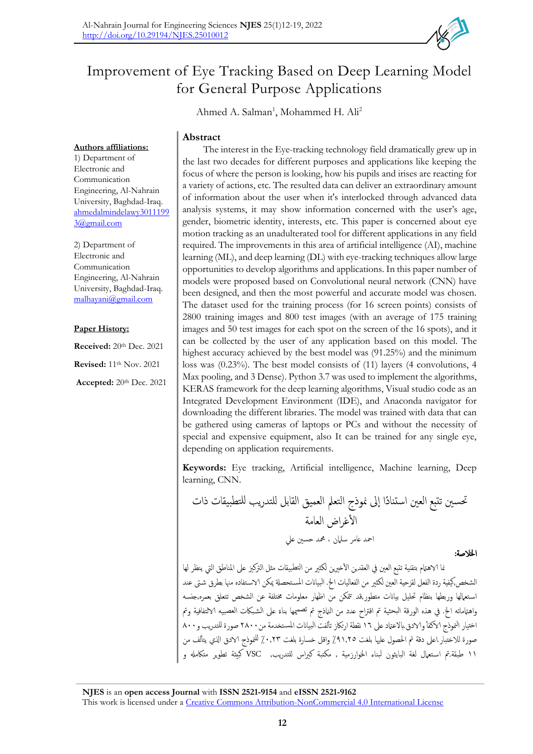# Improvement of Eye Tracking Based on Deep Learning Model for General Purpose Applications

Ahmed A. Salman<sup>1</sup>, Mohammed H. Ali<sup>2</sup>

# **Abstract**

The interest in the Eye-tracking technology field dramatically grew up in the last two decades for different purposes and applications like keeping the focus of where the person is looking, how his pupils and irises are reacting for a variety of actions, etc. The resulted data can deliver an extraordinary amount of information about the user when it's interlocked through advanced data analysis systems, it may show information concerned with the user's age, gender, biometric identity, interests, etc. This paper is concerned about eye motion tracking as an unadulterated tool for different applications in any field required. The improvements in this area of artificial intelligence (AI), machine learning (ML), and deep learning (DL) with eye-tracking techniques allow large opportunities to develop algorithms and applications. In this paper number of models were proposed based on Convolutional neural network (CNN) have been designed, and then the most powerful and accurate model was chosen. The dataset used for the training process (for 16 screen points) consists of 2800 training images and 800 test images (with an average of 175 training images and 50 test images for each spot on the screen of the 16 spots), and it can be collected by the user of any application based on this model. The highest accuracy achieved by the best model was (91.25%) and the minimum loss was (0.23%). The best model consists of (11) layers (4 convolutions, 4 Max pooling, and 3 Dense). Python 3.7 was used to implement the algorithms, KERAS framework for the deep learning algorithms, Visual studio code as an Integrated Development Environment (IDE), and Anaconda navigator for downloading the different libraries. The model was trained with data that can be gathered using cameras of laptops or PCs and without the necessity of special and expensive equipment, also It can be trained for any single eye, depending on application requirements.

**Keywords:** Eye tracking, Artificial intelligence, Machine learning, Deep learning, CNN.

حتسني تتبع العني استناًدا اىل منوذج التعمل العميق القابل للتدريب للتطبيقات ذات الأغراض العامة امحد عامر سلامن ، محمد حسني عل اخلالصة:

نما الاهتمام بتقنية تتبع العين في العقدين الأخيرين لكثير من التطبيقات مثل التركيز على المناطق التي ينظر لها الشخص,كيفية ردة الفعل لقزحية العين لكثير من الفعاليات الخ. البيانات المستحصلة يمكن الاستفاده منها بطرق شتى عند استعمالها وربطها بنظام تحليل بيانات متطور,قد تتمكن من اظهار معلومات مختلفة عن الشخص تتعلق بعمره,جنسه واهتماماته الخ. في هذه الورقة البحثية تم اقتراح عدد من النماذج تم تصميمها بناءً على الشبكات العصبيه ا⁄التفافية وتم ً اختيار النموذج الاكفأ والادق بالاعتاد على ١٦ نقطة ارتكاز تألفت البيانات المستخدمة من ٢٨٠٠ صورة للتدريب و٨٠٠ صورة للاختبار اعلى دقة تم الحصول عليها بلغت ٩١٫٢٥٪ واقل خسارة بلغت ٠,٢٣٪ للنموذج الادق الذي يتألف من 11 طبقة.مت اس تعامل لغة البايثون لبناء اخلوارزمية , مكتبة كرياس للتدريب, VSC كبيئة تطوير متاكمهل و

1) Department of Electronic and Communication Engineering, Al-Nahrain University, Baghdad-Iraq. [ahmedalmindelawy3011199](mailto:ahmedalmindelawy30111993@gmail.com)

**Authors affiliations:**

2) Department of Electronic and Communication Engineering, Al-Nahrain University, Baghdad-Iraq. [malhayani@gmail.com](mailto:malhayani@gmail.com)

# **Paper History:**

[3@gmail.com](mailto:ahmedalmindelawy30111993@gmail.com)

**Received:** 20<sup>th</sup> Dec. 2021

**Revised:** 11th Nov. 2021

**Accepted:** 20th Dec. 2021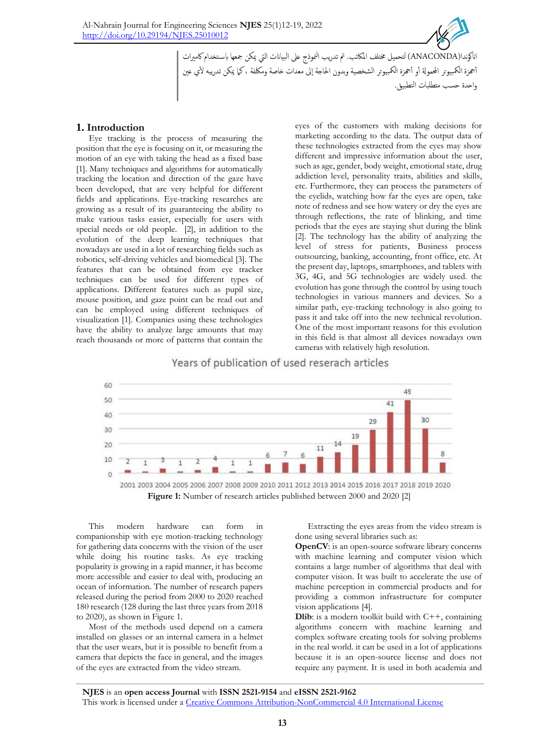

'ناكوندا(ANACONDA) لتحميل مختلف المكاتب. تم تدريب النموذج على البيانات التي يمكن جمعها باستخدام كاميرات أجحزة الكمبيوتر المحمولة أو أجحزة الكمبيوتر الشخصية وبدون الحاجة إلى معدات خاصة ومكلفة ، كما يمكن تدريبه لأي عين واحدة حسب متطلبات التطبيق.

# **1. Introduction**

Eye tracking is the process of measuring the position that the eye is focusing on it, or measuring the motion of an eye with taking the head as a fixed base [1]. Many techniques and algorithms for automatically tracking the location and direction of the gaze have been developed, that are very helpful for different fields and applications. Eye-tracking researches are growing as a result of its guaranteeing the ability to make various tasks easier, especially for users with special needs or old people. [2], in addition to the evolution of the deep learning techniques that nowadays are used in a lot of researching fields such as robotics, self-driving vehicles and biomedical [3]. The features that can be obtained from eye tracker techniques can be used for different types of applications. Different features such as pupil size, mouse position, and gaze point can be read out and can be employed using different techniques of visualization [1]. Companies using these technologies have the ability to analyze large amounts that may reach thousands or more of patterns that contain the

eyes of the customers with making decisions for marketing according to the data. The output data of these technologies extracted from the eyes may show different and impressive information about the user, such as age, gender, body weight, emotional state, drug addiction level, personality traits, abilities and skills, etc. Furthermore, they can process the parameters of the eyelids, watching how far the eyes are open, take note of redness and see how watery or dry the eyes are through reflections, the rate of blinking, and time periods that the eyes are staying shut during the blink [2]. The technology has the ability of analyzing the level of stress for patients, Business process outsourcing, banking, accounting, front office, etc. At the present day, laptops, smartphones, and tablets with 3G, 4G, and 5G technologies are widely used. the evolution has gone through the control by using touch technologies in various manners and devices. So a similar path, eye-tracking technology is also going to pass it and take off into the new technical revolution. One of the most important reasons for this evolution in this field is that almost all devices nowadays own cameras with relatively high resolution.



Years of publication of used reserach articles

This modern hardware can form in companionship with eye motion-tracking technology for gathering data concerns with the vision of the user while doing his routine tasks. As eye tracking popularity is growing in a rapid manner, it has become more accessible and easier to deal with, producing an ocean of information. The number of research papers released during the period from 2000 to 2020 reached 180 research (128 during the last three years from 2018 to 2020), as shown in Figure 1.

Most of the methods used depend on a camera installed on glasses or an internal camera in a helmet that the user wears, but it is possible to benefit from a camera that depicts the face in general, and the images of the eyes are extracted from the video stream.

Extracting the eyes areas from the video stream is done using several libraries such as:

**OpenCV**: is an open-source software library concerns with machine learning and computer vision which contains a large number of algorithms that deal with computer vision. It was built to accelerate the use of machine perception in commercial products and for providing a common infrastructure for computer vision applications [4].

**Dlib**: is a modern toolkit build with C++, containing algorithms concern with machine learning and complex software creating tools for solving problems in the real world. it can be used in a lot of applications because it is an open-source license and does not require any payment. It is used in both academia and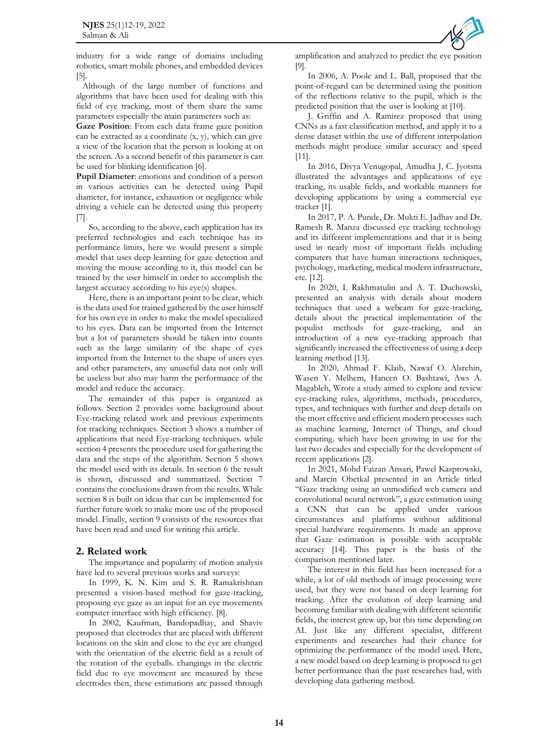industry for a wide range of domains including robotics, smart mobile phones, and embedded devices [5].

Although of the large number of functions and algorithms that have been used for dealing with this field of eye tracking, most of them share the same parameters especially the main parameters such as:

**Gaze Position**: From each data frame gaze position can be extracted as a coordinate  $(x, y)$ , which can give a view of the location that the person is looking at on the screen. As a second benefit of this parameter is can be used for blinking identification [6].

Pupil Diameter: emotions and condition of a person in various activities can be detected using Pupil diameter, for instance, exhaustion or negligence while driving a vehicle can be detected using this property [7].

So, according to the above, each application has its preferred technologies and each technique has its performance limits, here we would present a simple model that uses deep learning for gaze detection and moving the mouse according to it, this model can be trained by the user himself in order to accomplish the largest accuracy according to his eye(s) shapes.

Here, there is an important point to be clear, which is the data used for trained gathered by the user himself for his own eye in order to make the model specialized to his eyes. Data can be imported from the Internet but a lot of parameters should be taken into counts such as the large similarity of the shape of eyes imported from the Internet to the shape of users eyes and other parameters, any unuseful data not only will be useless but also may harm the performance of the model and reduce the accuracy.

The remainder of this paper is organized as follows. Section 2 provides some background about Eye-tracking related work and previous experiments for tracking techniques. Section 3 shows a number of applications that need Eye-tracking techniques. while section 4 presents the procedure used for gathering the data and the steps of the algorithm. Section 5 shows the model used with its details. In section 6 the result is shown, discussed and summarized. Section 7 contains the conclusions drawn from the results. While section 8 is built on ideas that can be implemented for further future work to make more use of the proposed model. Finally, section 9 consists of the resources that have been read and used for writing this article.

## **2. Related work**

The importance and popularity of motion analysis have led to several previous works and surveys:

In 1999, K. N. Kim and S. R. Ramakrishnan presented a vision-based method for gaze-tracking, proposing eye gaze as an input for an eye movements computer interface with high efficiency. [8].

In 2002, Kaufman, Bandopadhay, and Shaviv proposed that electrodes that are placed with different locations on the skin and close to the eye are changed with the orientation of the electric field as a result of the rotation of the eyeballs. changings in the electric field due to eye movement are measured by these electrodes then, these estimations are passed through amplification and analyzed to predict the eye position [9].

In 2006, A. Poole and L. Ball, proposed that the point-of-regard can be determined using the position of the reflections relative to the pupil, which is the predicted position that the user is looking at [10].

J. Griffin and A. Ramirez proposed that using CNNs as a fast classification method, and apply it to a dense dataset within the use of different interpolation methods might produce similar accuracy and speed [11].

In 2016, Divya Venugopal, Amudha J, C. Jyotsna illustrated the advantages and applications of eye tracking, its usable fields, and workable manners for developing applications by using a commercial eye tracker [1].

In 2017, P. A. Punde, Dr. Mukti E. Jadhav and Dr. Ramesh R. Manza discussed eye tracking technology and its different implementations and that it is being used in nearly most of important fields including computers that have human interactions techniques, psychology, marketing, medical modern infrastructure, etc. [12].

In 2020, I. Rakhmatulin and A. T. Duchowski, presented an analysis with details about modern techniques that used a webcam for gaze-tracking, details about the practical implementation of the populist methods for gaze-tracking, and an introduction of a new eye-tracking approach that significantly increased the effectiveness of using a deep learning method [13].

In 2020, Ahmad F. Klaib, Nawaf O. Alsrehin, Wasen Y. Melhem, Haneen O. Bashtawi, Aws A. Magableh, Wrote a study aimed to explore and review eye-tracking rules, algorithms, methods, procedures, types, and techniques with further and deep details on the most effective and efficient modern processes such as machine learning, Internet of Things, and cloud computing. which have been growing in use for the last two decades and especially for the development of recent applications [2].

In 2021, Mohd Faizan Ansari, Pawel Kasprowski, and Marcin Obetkal presented in an Article titled "Gaze tracking using an unmodified web camera and convolutional neural network", a gaze estimation using a CNN that can be applied under various circumstances and platforms without additional special hardware requirements. It made an approve that Gaze estimation is possible with acceptable accuracy [14]. This paper is the basis of the comparison mentioned later.

The interest in this field has been increased for a while, a lot of old methods of image processing were used, but they were not based on deep learning for tracking. After the evolution of deep learning and becoming familiar with dealing with different scientific fields, the interest grew up, but this time depending on AI. Just like any different specialist, different experiments and researches had their chance for optimizing the performance of the model used. Here, a new model based on deep learning is proposed to get better performance than the past researches had, with developing data gathering method.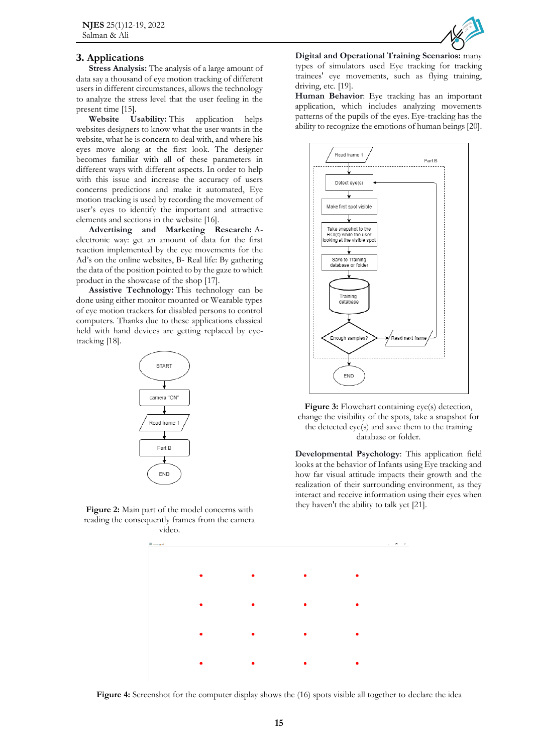# **3. Applications**

**Stress Analysis:** The analysis of a large amount of data say a thousand of eye motion tracking of different users in different circumstances, allows the technology to analyze the stress level that the user feeling in the present time [15].

**Website Usability:** This application helps websites designers to know what the user wants in the website, what he is concern to deal with, and where his eyes move along at the first look. The designer becomes familiar with all of these parameters in different ways with different aspects. In order to help with this issue and increase the accuracy of users concerns predictions and make it automated, Eye motion tracking is used by recording the movement of user's eyes to identify the important and attractive elements and sections in the website [16].

**Advertising and Marketing Research:** Aelectronic way: get an amount of data for the first reaction implemented by the eye movements for the Ad's on the online websites, B- Real life: By gathering the data of the position pointed to by the gaze to which product in the showcase of the shop [17].

**Assistive Technology:** This technology can be done using either monitor mounted or Wearable types of eye motion trackers for disabled persons to control computers. Thanks due to these applications classical held with hand devices are getting replaced by eyetracking [18].



**Figure 2:** Main part of the model concerns with reading the consequently frames from the camera video.



**Digital and Operational Training Scenarios:** many types of simulators used Eye tracking for tracking trainees' eye movements, such as flying training, driving, etc. [19].

**Human Behavior**: Eye tracking has an important application, which includes analyzing movements patterns of the pupils of the eyes. Eye-tracking has the ability to recognize the emotions of human beings [20].



Figure 3: Flowchart containing eye(s) detection, change the visibility of the spots, take a snapshot for the detected eye(s) and save them to the training database or folder.

**Developmental Psychology**: This application field looks at the behavior of Infants using Eye tracking and how far visual attitude impacts their growth and the realization of their surrounding environment, as they interact and receive information using their eyes when they haven't the ability to talk yet [21].



**Figure 4:** Screenshot for the computer display shows the (16) spots visible all together to declare the idea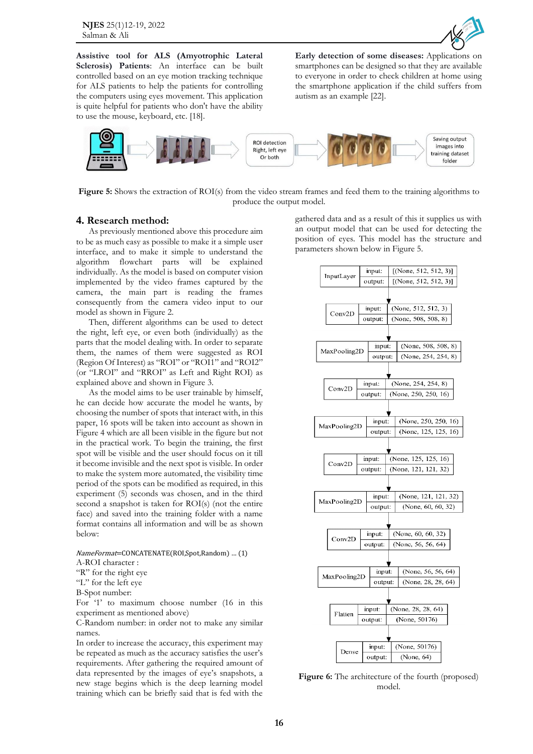**NJES** 25(1)12-19, 2022 Salman & Ali



**Assistive tool for ALS (Amyotrophic Lateral Sclerosis) Patients**: An interface can be built controlled based on an eye motion tracking technique for ALS patients to help the patients for controlling the computers using eyes movement. This application is quite helpful for patients who don't have the ability to use the mouse, keyboard, etc. [18].

**Early detection of some diseases:** Applications on smartphones can be designed so that they are available to everyone in order to check children at home using the smartphone application if the child suffers from autism as an example [22].



**Figure 5:** Shows the extraction of ROI(s) from the video stream frames and feed them to the training algorithms to produce the output model.

#### **4. Research method:**

As previously mentioned above this procedure aim to be as much easy as possible to make it a simple user interface, and to make it simple to understand the algorithm flowchart parts will be explained individually. As the model is based on computer vision implemented by the video frames captured by the camera, the main part is reading the frames consequently from the camera video input to our model as shown in Figure 2.

Then, different algorithms can be used to detect the right, left eye, or even both (individually) as the parts that the model dealing with. In order to separate them, the names of them were suggested as ROI (Region Of Interest) as "ROI" or "ROI1" and "ROI2" (or "LROI" and "RROI" as Left and Right ROI) as explained above and shown in Figure 3.

As the model aims to be user trainable by himself, he can decide how accurate the model he wants, by choosing the number of spots that interact with, in this paper, 16 spots will be taken into account as shown in Figure 4 which are all been visible in the figure but not in the practical work. To begin the training, the first spot will be visible and the user should focus on it till it become invisible and the next spot is visible. In order to make the system more automated, the visibility time period of the spots can be modified as required, in this experiment (5) seconds was chosen, and in the third second a snapshot is taken for ROI(s) (not the entire face) and saved into the training folder with a name format contains all information and will be as shown below:

#### NameFormat=CONCATENATE(ROI,Spot,Random) … (1)

A-ROI character :

"R" for the right eye

"L" for the left eye

```
B-Spot number:
```
For '1' to maximum choose number (16 in this experiment as mentioned above)

C-Random number: in order not to make any similar names.

In order to increase the accuracy, this experiment may be repeated as much as the accuracy satisfies the user's requirements. After gathering the required amount of data represented by the images of eye's snapshots, a new stage begins which is the deep learning model training which can be briefly said that is fed with the

gathered data and as a result of this it supplies us with an output model that can be used for detecting the position of eyes. This model has the structure and parameters shown below in Figure 5.



**Figure 6:** The architecture of the fourth (proposed) model.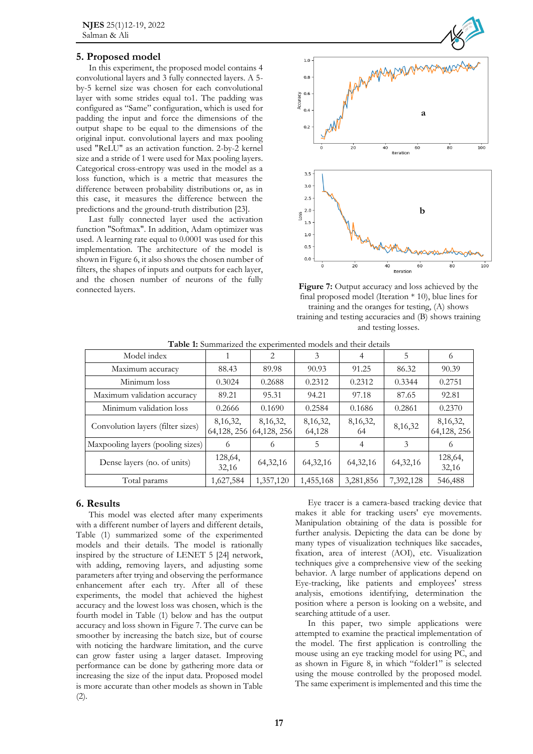# **5. Proposed model**

In this experiment, the proposed model contains 4 convolutional layers and 3 fully connected layers. A 5 by-5 kernel size was chosen for each convolutional layer with some strides equal to1. The padding was configured as "Same" configuration, which is used for padding the input and force the dimensions of the output shape to be equal to the dimensions of the original input. convolutional layers and max pooling used "ReLU" as an activation function. 2-by-2 kernel size and a stride of 1 were used for Max pooling layers. Categorical cross-entropy was used in the model as a loss function, which is a metric that measures the difference between probability distributions or, as in this case, it measures the difference between the predictions and the ground-truth distribution [23].

Last fully connected layer used the activation function "Softmax". In addition, Adam optimizer was used. A learning rate equal to 0.0001 was used for this implementation. The architecture of the model is shown in Figure 6, it also shows the chosen number of filters, the shapes of inputs and outputs for each layer, and the chosen number of neurons of the fully connected layers. **Figure 7:** Output accuracy and loss achieved by the



final proposed model (Iteration  $*$  10), blue lines for training and the oranges for testing, (A) shows training and testing accuracies and (B) shows training and testing losses.

| Model index                       |                           | $\overline{2}$             | 3                    | 4              | 5          | 6                         |
|-----------------------------------|---------------------------|----------------------------|----------------------|----------------|------------|---------------------------|
| Maximum accuracy                  | 88.43                     | 89.98                      | 90.93                | 91.25          | 86.32      | 90.39                     |
| Minimum loss                      | 0.3024                    | 0.2688                     | 0.2312               | 0.2312         | 0.3344     | 0.2751                    |
| Maximum validation accuracy       | 89.21                     | 95.31                      | 94.21                | 97.18          | 87.65      | 92.81                     |
| Minimum validation loss           | 0.2666                    | 0.1690                     | 0.2584               | 0.1686         | 0.2861     | 0.2370                    |
| Convolution layers (filter sizes) | 8, 16, 32,<br>64,128, 256 | 8, 16, 32,<br>64, 128, 256 | 8, 16, 32,<br>64,128 | 8,16,32,<br>64 | 8,16,32    | 8, 16, 32,<br>64,128, 256 |
| Maxpooling layers (pooling sizes) | 6                         | 6                          | 5                    | 4              | 3          | 6                         |
| Dense layers (no. of units)       | 128,64,<br>32,16          | 64, 32, 16                 | 64, 32, 16           | 64, 32, 16     | 64, 32, 16 | 128,64,<br>32,16          |
| Total params                      | 1,627,584                 | 1,357,120                  | 1,455,168            | 3,281,856      | 7,392,128  | 546,488                   |

**Table 1:** Summarized the experimented models and their details

## **6. Results**

This model was elected after many experiments with a different number of layers and different details, Table (1) summarized some of the experimented models and their details. The model is rationally inspired by the structure of LENET 5 [24] network, with adding, removing layers, and adjusting some parameters after trying and observing the performance enhancement after each try. After all of these experiments, the model that achieved the highest accuracy and the lowest loss was chosen, which is the fourth model in Table (1) below and has the output accuracy and loss shown in Figure 7. The curve can be smoother by increasing the batch size, but of course with noticing the hardware limitation, and the curve can grow faster using a larger dataset. Improving performance can be done by gathering more data or increasing the size of the input data. Proposed model is more accurate than other models as shown in Table (2).

Eye tracer is a camera-based tracking device that makes it able for tracking users' eye movements. Manipulation obtaining of the data is possible for further analysis. Depicting the data can be done by many types of visualization techniques like saccades, fixation, area of interest (AOI), etc. Visualization techniques give a comprehensive view of the seeking behavior. A large number of applications depend on Eye-tracking, like patients and employees' stress analysis, emotions identifying, determination the position where a person is looking on a website, and searching attitude of a user.

In this paper, two simple applications were attempted to examine the practical implementation of the model. The first application is controlling the mouse using an eye tracking model for using PC, and as shown in Figure 8, in which "folder1" is selected using the mouse controlled by the proposed model. The same experiment is implemented and this time the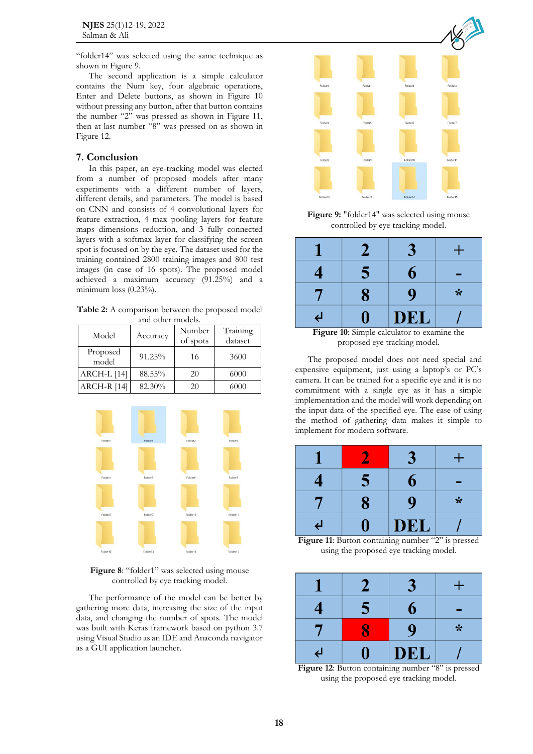"folder14" was selected using the same technique as shown in Figure 9.

The second application is a simple calculator contains the Num key, four algebraic operations, Enter and Delete buttons, as shown in Figure 10 without pressing any button, after that button contains the number "2" was pressed as shown in Figure 11, then at last number "8" was pressed on as shown in Figure 12.

#### **7. Conclusion**

In this paper, an eye-tracking model was elected from a number of proposed models after many experiments with a different number of layers, different details, and parameters. The model is based on CNN and consists of 4 convolutional layers for feature extraction, 4 max pooling layers for feature maps dimensions reduction, and 3 fully connected layers with a softmax layer for classifying the screen spot is focused on by the eye. The dataset used for the training contained 2800 training images and 800 test images (in case of 16 spots). The proposed model achieved a maximum accuracy (91.25%) and a minimum loss (0.23%).

**Table 2:** A comparison between the proposed model and other models.

| Model             | Accuracy | Number<br>of spots | Training<br>dataset |
|-------------------|----------|--------------------|---------------------|
| Proposed<br>model | 91.25%   | 16                 | 3600                |
| ARCH-L [14]       | 88.55%   | 20                 | 6000                |
| ARCH-R [14]       | 82.30%   | 20                 | 6000                |



**Figure 8**: "folder1" was selected using mouse controlled by eye tracking model.

The performance of the model can be better by gathering more data, increasing the size of the input data, and changing the number of spots. The model was built with Keras framework based on python 3.7 using Visual Studio as an IDE and Anaconda navigator as a GUI application launcher.



**Figure 9:** "folder14" was selected using mouse controlled by eye tracking model.



**Figure 10**: Simple calculator to examine the proposed eye tracking model.

The proposed model does not need special and expensive equipment, just using a laptop's or PC's camera. It can be trained for a specific eye and it is no commitment with a single eye as it has a simple implementation and the model will work depending on the input data of the specified eye. The ease of using the method of gathering data makes it simple to implement for modern software.

|    |   |            | ٠ |
|----|---|------------|---|
| 4  | 5 | 6          |   |
|    | 8 | 9          | * |
| لے |   | <b>DEL</b> |   |

**Figure 11:** Button containing number "2" is pressed using the proposed eye tracking model.

|                | 2 |             | + |
|----------------|---|-------------|---|
|                | 5 | ճ           |   |
|                |   | $\mathbf 0$ | * |
| $\overline{a}$ |   | <b>DEL</b>  |   |

**Figure 12:** Button containing number "8" is pressed using the proposed eye tracking model.